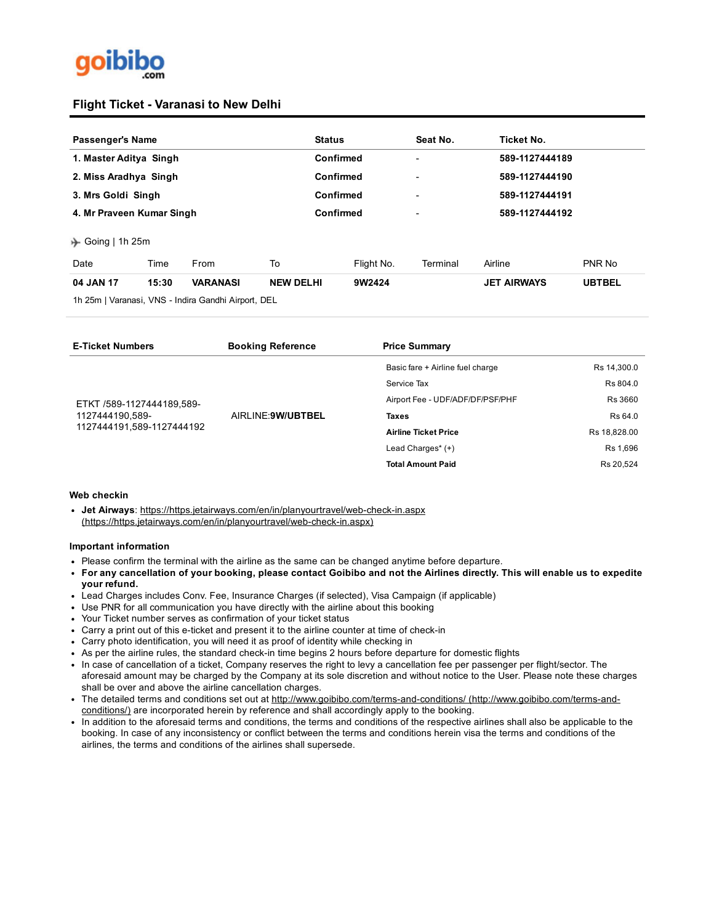

## **Flight Ticket - Varanasi to New Delhi**

| Passenger's Name             |       |                                                   |                  | Seat No.<br><b>Status</b> |          | Ticket No.         |               |
|------------------------------|-------|---------------------------------------------------|------------------|---------------------------|----------|--------------------|---------------|
| 1. Master Aditya Singh       |       |                                                   | <b>Confirmed</b> |                           |          | 589-1127444189     |               |
| 2. Miss Aradhya Singh        |       |                                                   | Confirmed        |                           |          | 589-1127444190     |               |
| 3. Mrs Goldi Singh           |       |                                                   | Confirmed        |                           |          | 589-1127444191     |               |
| 4. Mr Praveen Kumar Singh    |       |                                                   |                  | Confirmed                 |          | 589-1127444192     |               |
| $\rightarrow$ Going   1h 25m |       |                                                   |                  |                           |          |                    |               |
| Date                         | Time  | From                                              | To               | Flight No.                | Terminal | Airline            | PNR No        |
| 04 JAN 17                    | 15:30 | <b>VARANASI</b>                                   | <b>NEW DELHI</b> | 9W2424                    |          | <b>JET AIRWAYS</b> | <b>UBTBEL</b> |
|                              |       | 1h 25m   Varanaei VNS   Indira Candhi Airport DEI |                  |                           |          |                    |               |

1h 25m | Varanasi, VNS Indira Gandhi Airport, DEL

| <b>E-Ticket Numbers</b>   | <b>Booking Reference</b> | <b>Price Summary</b>             |              |
|---------------------------|--------------------------|----------------------------------|--------------|
|                           |                          | Basic fare + Airline fuel charge | Rs 14,300.0  |
|                           |                          | Service Tax                      | Rs 804.0     |
| ETKT /589-1127444189,589- |                          | Airport Fee - UDF/ADF/DF/PSF/PHF | Rs 3660      |
| 1127444190,589-           | AIRLINE: 9W/UBTBEL       | <b>Taxes</b>                     | Rs 64.0      |
| 1127444191,589-1127444192 |                          | <b>Airline Ticket Price</b>      | Rs 18,828.00 |
|                           |                          | Lead Charges* (+)                | Rs 1,696     |
|                           |                          | <b>Total Amount Paid</b>         | Rs 20,524    |
|                           |                          |                                  |              |

#### Web checkin

• Jet Airways: https://https.jetairways.com/en/in/planyourtravel/web-check-in.aspx (https://https.jetairways.com/en/in/planyourtravel/web-check-in.aspx)

### Important information

- Please confirm the terminal with the airline as the same can be changed anytime before departure.
- For any cancellation of your booking, please contact Goibibo and not the Airlines directly. This will enable us to expedite your refund.
- Lead Charges includes Conv. Fee, Insurance Charges (if selected), Visa Campaign (if applicable)
- Use PNR for all communication you have directly with the airline about this booking
- Your Ticket number serves as confirmation of your ticket status
- Carry a print out of this e-ticket and present it to the airline counter at time of check-in
- Carry photo identification, you will need it as proof of identity while checking in
- As per the airline rules, the standard check-in time begins 2 hours before departure for domestic flights
- In case of cancellation of a ticket, Company reserves the right to levy a cancellation fee per passenger per flight/sector. The aforesaid amount may be charged by the Company at its sole discretion and without notice to the User. Please note these charges shall be over and above the airline cancellation charges.
- . The detailed terms and conditions set out at http://www.goibibo.com/terms-and-conditions/ (http://www.goibibo.com/terms-andconditions/) are incorporated herein by reference and shall accordingly apply to the booking.
- In addition to the aforesaid terms and conditions, the terms and conditions of the respective airlines shall also be applicable to the booking. In case of any inconsistency or conflict between the terms and conditions herein visa the terms and conditions of the airlines, the terms and conditions of the airlines shall supersede.